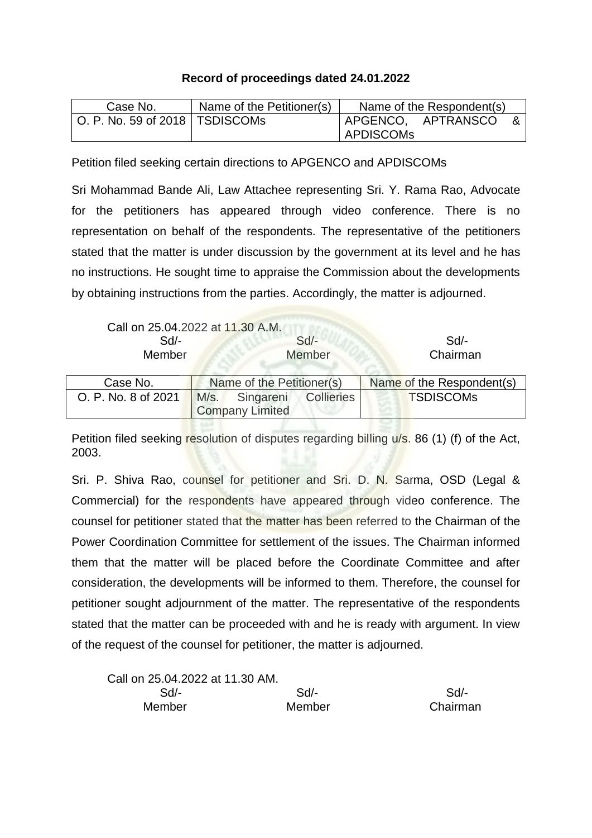## **Record of proceedings dated 24.01.2022**

| Case No.                         | Name of the Petitioner(s) | Name of the Respondent(s)         |  |
|----------------------------------|---------------------------|-----------------------------------|--|
| O. P. No. 59 of 2018   TSDISCOMs |                           | APGENCO, APTRANSCO<br>  APDISCOMs |  |

Petition filed seeking certain directions to APGENCO and APDISCOMs

Sri Mohammad Bande Ali, Law Attachee representing Sri. Y. Rama Rao, Advocate for the petitioners has appeared through video conference. There is no representation on behalf of the respondents. The representative of the petitioners stated that the matter is under discussion by the government at its level and he has no instructions. He sought time to appraise the Commission about the developments by obtaining instructions from the parties. Accordingly, the matter is adjourned.

| Call on 25.04.2022 at 11.30 A.M. |        |          |
|----------------------------------|--------|----------|
| $Sd/-$                           | $Sd$ - | Sd       |
| <b>Member</b>                    | Member | Chairman |
|                                  |        |          |

| Case No.            | Name of the Petitioner(s) |           |                   | Name of the Respondent(s) |
|---------------------|---------------------------|-----------|-------------------|---------------------------|
| O. P. No. 8 of 2021 | M/s.                      | Singareni | <b>Collieries</b> | <b>TSDISCOMs</b>          |
|                     | <b>Company Limited</b>    |           |                   |                           |

Petition filed seeking resolution of disputes regarding billing u/s. 86 (1) (f) of the Act, 2003.

Sri. P. Shiva Rao, counsel for petitioner and Sri. D. N. Sarma, OSD (Legal & Commercial) for the respondents have appeared through video conference. The counsel for petitioner stated that the matter has been referred to the Chairman of the Power Coordination Committee for settlement of the issues. The Chairman informed them that the matter will be placed before the Coordinate Committee and after consideration, the developments will be informed to them. Therefore, the counsel for petitioner sought adjournment of the matter. The representative of the respondents stated that the matter can be proceeded with and he is ready with argument. In view of the request of the counsel for petitioner, the matter is adjourned.

| Call on 25.04.2022 at 11.30 AM. |        |          |
|---------------------------------|--------|----------|
| Sd/-                            | $Sd/-$ | Sd       |
| Member                          | Member | Chairman |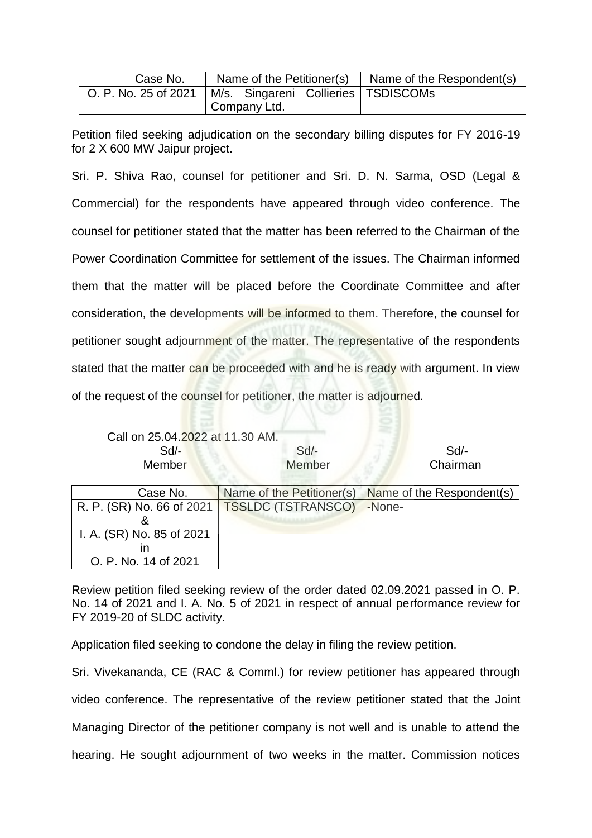| Case No.                                                     |              |  | Name of the Petitioner(s) $\parallel$ Name of the Respondent(s) |
|--------------------------------------------------------------|--------------|--|-----------------------------------------------------------------|
| O. P. No. 25 of 2021   M/s. Singareni Collieries   TSDISCOMs |              |  |                                                                 |
|                                                              | Company Ltd. |  |                                                                 |

Petition filed seeking adjudication on the secondary billing disputes for FY 2016-19 for 2 X 600 MW Jaipur project.

Sri. P. Shiva Rao, counsel for petitioner and Sri. D. N. Sarma, OSD (Legal & Commercial) for the respondents have appeared through video conference. The counsel for petitioner stated that the matter has been referred to the Chairman of the Power Coordination Committee for settlement of the issues. The Chairman informed them that the matter will be placed before the Coordinate Committee and after consideration, the developments will be informed to them. Therefore, the counsel for petitioner sought adjournment of the matter. The representative of the respondents stated that the matter can be proceeded with and he is ready with argument. In view of the request of the counsel for petitioner, the matter is adjourned.

Call on 25.04.2022 at 11.30 AM.

Sd/- Sd/- Sd/- Sd/- Sd/- Sd/- Sd/-Member Member Chairman

| Case No.                                       | Name of the Petitioner(s)   Name of the Respondent(s) |
|------------------------------------------------|-------------------------------------------------------|
| R. P. (SR) No. 66 of 2021   TSSLDC (TSTRANSCO) | -None-                                                |
|                                                |                                                       |
| I. A. (SR) No. 85 of 2021                      |                                                       |
|                                                |                                                       |
| O. P. No. 14 of 2021                           |                                                       |

Review petition filed seeking review of the order dated 02.09.2021 passed in O. P. No. 14 of 2021 and I. A. No. 5 of 2021 in respect of annual performance review for FY 2019-20 of SLDC activity.

Application filed seeking to condone the delay in filing the review petition.

Sri. Vivekananda, CE (RAC & Comml.) for review petitioner has appeared through video conference. The representative of the review petitioner stated that the Joint Managing Director of the petitioner company is not well and is unable to attend the hearing. He sought adjournment of two weeks in the matter. Commission notices